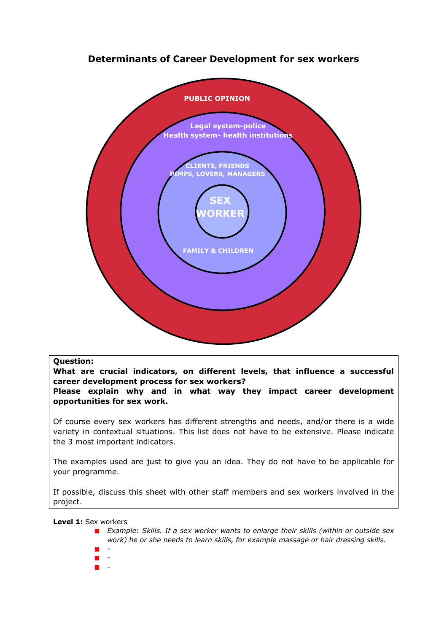## **Determinants of Career Development for sex workers**



## **Question:**

**What are crucial indicators, on different levels, that influence a successful career development process for sex workers?**

**Please explain why and in what way they impact career development opportunities for sex work.**

Of course every sex workers has different strengths and needs, and/or there is a wide variety in contextual situations. This list does not have to be extensive. Please indicate the 3 most important indicators.

The examples used are just to give you an idea. They do not have to be applicable for your programme.

If possible, discuss this sheet with other staff members and sex workers involved in the project.

**Level 1:** Sex workers

- *Example*: *Skills. If a sex worker wants to enlarge their skills (within or outside sex work) he or she needs to learn skills, for example massage or hair dressing skills.*
- -
- -